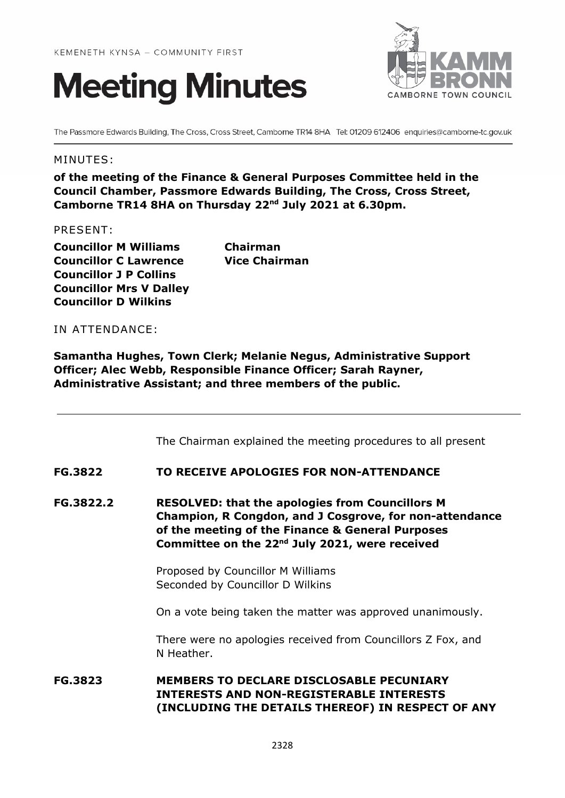



The Passmore Edwards Building, The Cross, Cross Street, Camborne TR14 8HA Tel: 01209 612406 enquiries@camborne-tc.gov.uk

#### MINUTES:

**of the meeting of the Finance & General Purposes Committee held in the Council Chamber, Passmore Edwards Building, The Cross, Cross Street, Camborne TR14 8HA on Thursday 22nd July 2021 at 6.30pm.**

#### PRESENT:

**Councillor M Williams Chairman Councillor C Lawrence Vice Chairman Councillor J P Collins Councillor Mrs V Dalley Councillor D Wilkins**

IN ATTENDANCE:

**Samantha Hughes, Town Clerk; Melanie Negus, Administrative Support Officer; Alec Webb, Responsible Finance Officer; Sarah Rayner, Administrative Assistant; and three members of the public.**

The Chairman explained the meeting procedures to all present

#### **FG.3822 TO RECEIVE APOLOGIES FOR NON-ATTENDANCE**

**FG.3822.2 RESOLVED: that the apologies from Councillors M Champion, R Congdon, and J Cosgrove, for non-attendance of the meeting of the Finance & General Purposes Committee on the 22nd July 2021, were received** 

> Proposed by Councillor M Williams Seconded by Councillor D Wilkins

On a vote being taken the matter was approved unanimously.

There were no apologies received from Councillors Z Fox, and N Heather.

# **FG.3823 MEMBERS TO DECLARE DISCLOSABLE PECUNIARY INTERESTS AND NON-REGISTERABLE INTERESTS (INCLUDING THE DETAILS THEREOF) IN RESPECT OF ANY**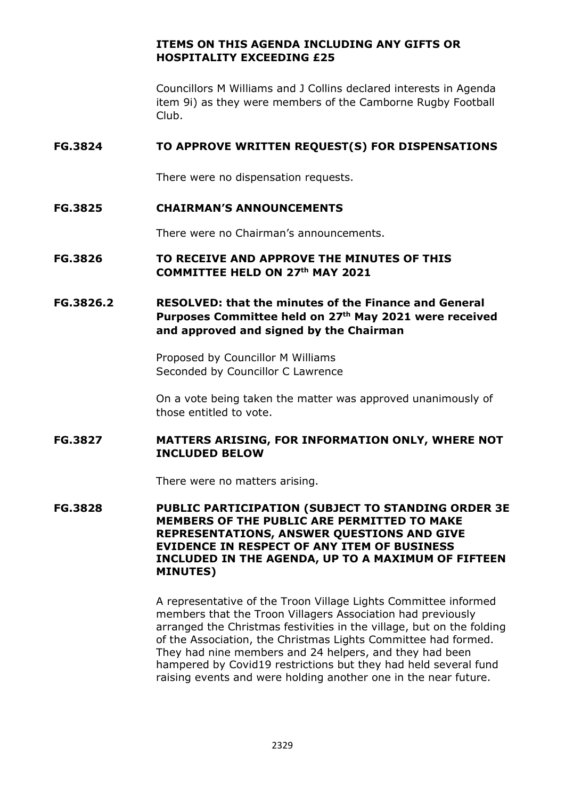# **ITEMS ON THIS AGENDA INCLUDING ANY GIFTS OR HOSPITALITY EXCEEDING £25**

Councillors M Williams and J Collins declared interests in Agenda item 9i) as they were members of the Camborne Rugby Football Club.

## **FG.3824 TO APPROVE WRITTEN REQUEST(S) FOR DISPENSATIONS**

There were no dispensation requests.

## **FG.3825 CHAIRMAN'S ANNOUNCEMENTS**

There were no Chairman's announcements.

## **FG.3826 TO RECEIVE AND APPROVE THE MINUTES OF THIS COMMITTEE HELD ON 27th MAY 2021**

# **FG.3826.2 RESOLVED: that the minutes of the Finance and General Purposes Committee held on 27th May 2021 were received and approved and signed by the Chairman**

Proposed by Councillor M Williams Seconded by Councillor C Lawrence

On a vote being taken the matter was approved unanimously of those entitled to vote.

## **FG.3827 MATTERS ARISING, FOR INFORMATION ONLY, WHERE NOT INCLUDED BELOW**

There were no matters arising.

**FG.3828 PUBLIC PARTICIPATION (SUBJECT TO STANDING ORDER 3E MEMBERS OF THE PUBLIC ARE PERMITTED TO MAKE REPRESENTATIONS, ANSWER QUESTIONS AND GIVE EVIDENCE IN RESPECT OF ANY ITEM OF BUSINESS INCLUDED IN THE AGENDA, UP TO A MAXIMUM OF FIFTEEN MINUTES)**

> A representative of the Troon Village Lights Committee informed members that the Troon Villagers Association had previously arranged the Christmas festivities in the village, but on the folding of the Association, the Christmas Lights Committee had formed. They had nine members and 24 helpers, and they had been hampered by Covid19 restrictions but they had held several fund raising events and were holding another one in the near future.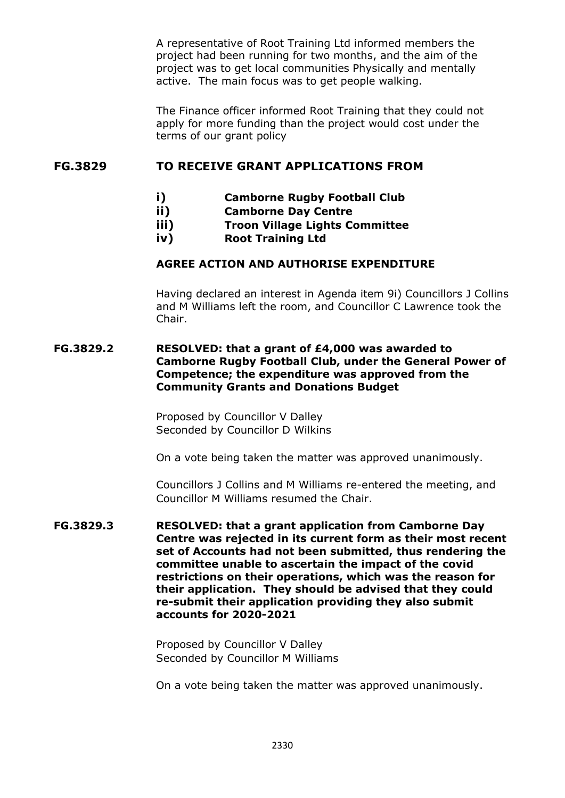A representative of Root Training Ltd informed members the project had been running for two months, and the aim of the project was to get local communities Physically and mentally active. The main focus was to get people walking.

The Finance officer informed Root Training that they could not apply for more funding than the project would cost under the terms of our grant policy

## **FG.3829 TO RECEIVE GRANT APPLICATIONS FROM**

- **i) Camborne Rugby Football Club**
- **ii) Camborne Day Centre**
	- **iii) Troon Village Lights Committee**
	- **iv) Root Training Ltd**

## **AGREE ACTION AND AUTHORISE EXPENDITURE**

Having declared an interest in Agenda item 9i) Councillors J Collins and M Williams left the room, and Councillor C Lawrence took the Chair.

#### **FG.3829.2 RESOLVED: that a grant of £4,000 was awarded to Camborne Rugby Football Club, under the General Power of Competence; the expenditure was approved from the Community Grants and Donations Budget**

Proposed by Councillor V Dalley Seconded by Councillor D Wilkins

On a vote being taken the matter was approved unanimously.

Councillors J Collins and M Williams re-entered the meeting, and Councillor M Williams resumed the Chair.

**FG.3829.3 RESOLVED: that a grant application from Camborne Day Centre was rejected in its current form as their most recent set of Accounts had not been submitted, thus rendering the committee unable to ascertain the impact of the covid restrictions on their operations, which was the reason for their application. They should be advised that they could re-submit their application providing they also submit accounts for 2020-2021**

> Proposed by Councillor V Dalley Seconded by Councillor M Williams

On a vote being taken the matter was approved unanimously.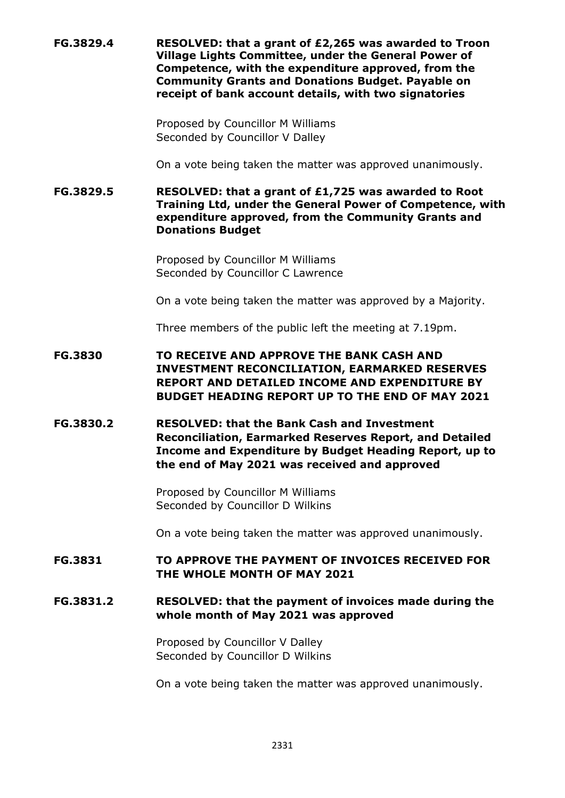**FG.3829.4 RESOLVED: that a grant of £2,265 was awarded to Troon Village Lights Committee, under the General Power of Competence, with the expenditure approved, from the Community Grants and Donations Budget. Payable on receipt of bank account details, with two signatories**

> Proposed by Councillor M Williams Seconded by Councillor V Dalley

On a vote being taken the matter was approved unanimously.

**FG.3829.5 RESOLVED: that a grant of £1,725 was awarded to Root Training Ltd, under the General Power of Competence, with expenditure approved, from the Community Grants and Donations Budget**

> Proposed by Councillor M Williams Seconded by Councillor C Lawrence

On a vote being taken the matter was approved by a Majority.

Three members of the public left the meeting at 7.19pm.

**FG.3830 TO RECEIVE AND APPROVE THE BANK CASH AND INVESTMENT RECONCILIATION, EARMARKED RESERVES REPORT AND DETAILED INCOME AND EXPENDITURE BY BUDGET HEADING REPORT UP TO THE END OF MAY 2021**

**FG.3830.2 RESOLVED: that the Bank Cash and Investment Reconciliation, Earmarked Reserves Report, and Detailed Income and Expenditure by Budget Heading Report, up to the end of May 2021 was received and approved**

> Proposed by Councillor M Williams Seconded by Councillor D Wilkins

On a vote being taken the matter was approved unanimously.

## **FG.3831 TO APPROVE THE PAYMENT OF INVOICES RECEIVED FOR THE WHOLE MONTH OF MAY 2021**

#### **FG.3831.2 RESOLVED: that the payment of invoices made during the whole month of May 2021 was approved**

Proposed by Councillor V Dalley Seconded by Councillor D Wilkins

On a vote being taken the matter was approved unanimously.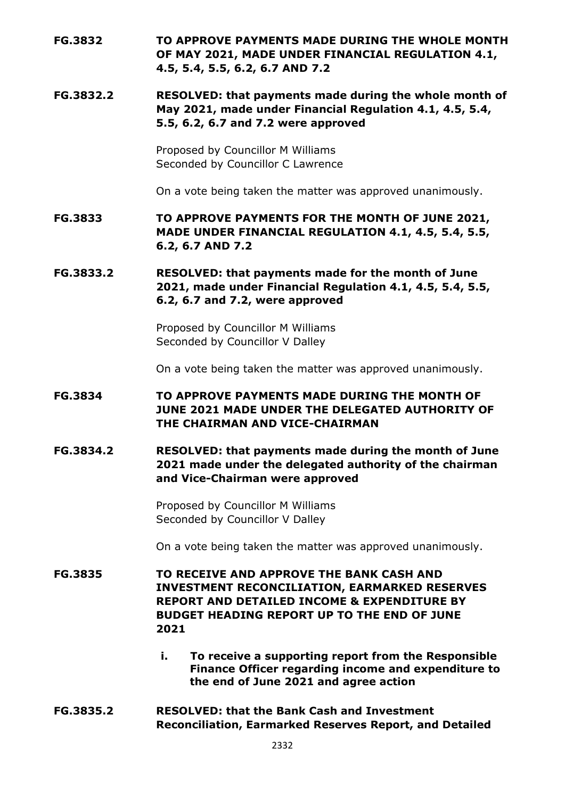- **FG.3832 TO APPROVE PAYMENTS MADE DURING THE WHOLE MONTH OF MAY 2021, MADE UNDER FINANCIAL REGULATION 4.1, 4.5, 5.4, 5.5, 6.2, 6.7 AND 7.2**
- **FG.3832.2 RESOLVED: that payments made during the whole month of May 2021, made under Financial Regulation 4.1, 4.5, 5.4, 5.5, 6.2, 6.7 and 7.2 were approved**

Proposed by Councillor M Williams Seconded by Councillor C Lawrence

On a vote being taken the matter was approved unanimously.

**FG.3833 TO APPROVE PAYMENTS FOR THE MONTH OF JUNE 2021, MADE UNDER FINANCIAL REGULATION 4.1, 4.5, 5.4, 5.5, 6.2, 6.7 AND 7.2**

**FG.3833.2 RESOLVED: that payments made for the month of June 2021, made under Financial Regulation 4.1, 4.5, 5.4, 5.5, 6.2, 6.7 and 7.2, were approved**

> Proposed by Councillor M Williams Seconded by Councillor V Dalley

On a vote being taken the matter was approved unanimously.

- **FG.3834 TO APPROVE PAYMENTS MADE DURING THE MONTH OF JUNE 2021 MADE UNDER THE DELEGATED AUTHORITY OF THE CHAIRMAN AND VICE-CHAIRMAN**
- **FG.3834.2 RESOLVED: that payments made during the month of June 2021 made under the delegated authority of the chairman and Vice-Chairman were approved**

Proposed by Councillor M Williams Seconded by Councillor V Dalley

On a vote being taken the matter was approved unanimously.

**FG.3835 TO RECEIVE AND APPROVE THE BANK CASH AND INVESTMENT RECONCILIATION, EARMARKED RESERVES REPORT AND DETAILED INCOME & EXPENDITURE BY BUDGET HEADING REPORT UP TO THE END OF JUNE 2021**

- **i. To receive a supporting report from the Responsible Finance Officer regarding income and expenditure to the end of June 2021 and agree action**
- **FG.3835.2 RESOLVED: that the Bank Cash and Investment Reconciliation, Earmarked Reserves Report, and Detailed**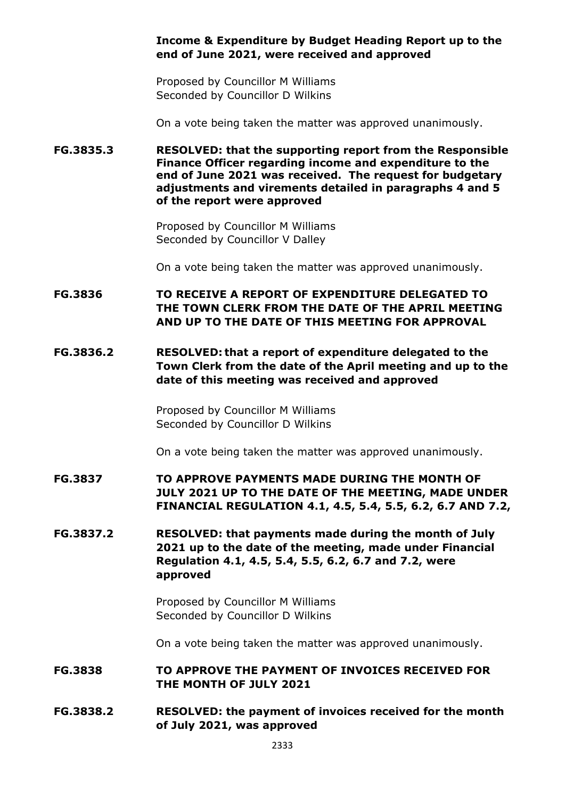#### **Income & Expenditure by Budget Heading Report up to the end of June 2021, were received and approved**

Proposed by Councillor M Williams Seconded by Councillor D Wilkins

On a vote being taken the matter was approved unanimously.

**FG.3835.3 RESOLVED: that the supporting report from the Responsible Finance Officer regarding income and expenditure to the end of June 2021 was received. The request for budgetary adjustments and virements detailed in paragraphs 4 and 5 of the report were approved**

> Proposed by Councillor M Williams Seconded by Councillor V Dalley

On a vote being taken the matter was approved unanimously.

**FG.3836 TO RECEIVE A REPORT OF EXPENDITURE DELEGATED TO THE TOWN CLERK FROM THE DATE OF THE APRIL MEETING AND UP TO THE DATE OF THIS MEETING FOR APPROVAL** 

**FG.3836.2 RESOLVED: that a report of expenditure delegated to the Town Clerk from the date of the April meeting and up to the date of this meeting was received and approved**

> Proposed by Councillor M Williams Seconded by Councillor D Wilkins

On a vote being taken the matter was approved unanimously.

- **FG.3837 TO APPROVE PAYMENTS MADE DURING THE MONTH OF JULY 2021 UP TO THE DATE OF THE MEETING, MADE UNDER FINANCIAL REGULATION 4.1, 4.5, 5.4, 5.5, 6.2, 6.7 AND 7.2,**
- **FG.3837.2 RESOLVED: that payments made during the month of July 2021 up to the date of the meeting, made under Financial Regulation 4.1, 4.5, 5.4, 5.5, 6.2, 6.7 and 7.2, were approved**

Proposed by Councillor M Williams Seconded by Councillor D Wilkins

On a vote being taken the matter was approved unanimously.

**FG.3838 TO APPROVE THE PAYMENT OF INVOICES RECEIVED FOR THE MONTH OF JULY 2021**

**FG.3838.2 RESOLVED: the payment of invoices received for the month of July 2021, was approved**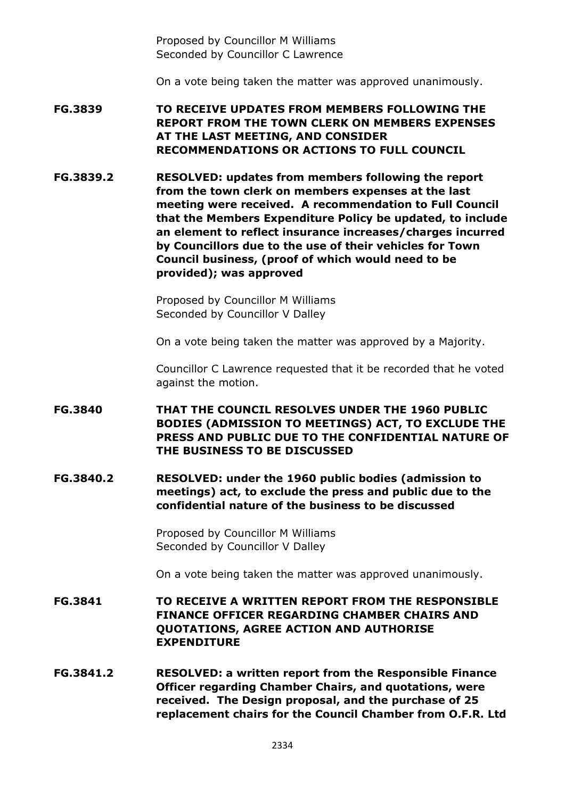Proposed by Councillor M Williams Seconded by Councillor C Lawrence

On a vote being taken the matter was approved unanimously.

**FG.3839 TO RECEIVE UPDATES FROM MEMBERS FOLLOWING THE REPORT FROM THE TOWN CLERK ON MEMBERS EXPENSES AT THE LAST MEETING, AND CONSIDER RECOMMENDATIONS OR ACTIONS TO FULL COUNCIL**

**FG.3839.2 RESOLVED: updates from members following the report from the town clerk on members expenses at the last meeting were received. A recommendation to Full Council that the Members Expenditure Policy be updated, to include an element to reflect insurance increases/charges incurred by Councillors due to the use of their vehicles for Town Council business, (proof of which would need to be provided); was approved** 

> Proposed by Councillor M Williams Seconded by Councillor V Dalley

On a vote being taken the matter was approved by a Majority.

Councillor C Lawrence requested that it be recorded that he voted against the motion.

- **FG.3840 THAT THE COUNCIL RESOLVES UNDER THE 1960 PUBLIC BODIES (ADMISSION TO MEETINGS) ACT, TO EXCLUDE THE PRESS AND PUBLIC DUE TO THE CONFIDENTIAL NATURE OF THE BUSINESS TO BE DISCUSSED**
- **FG.3840.2 RESOLVED: under the 1960 public bodies (admission to meetings) act, to exclude the press and public due to the confidential nature of the business to be discussed**

Proposed by Councillor M Williams Seconded by Councillor V Dalley

On a vote being taken the matter was approved unanimously.

- **FG.3841 TO RECEIVE A WRITTEN REPORT FROM THE RESPONSIBLE FINANCE OFFICER REGARDING CHAMBER CHAIRS AND QUOTATIONS, AGREE ACTION AND AUTHORISE EXPENDITURE**
- **FG.3841.2 RESOLVED: a written report from the Responsible Finance Officer regarding Chamber Chairs, and quotations, were received. The Design proposal, and the purchase of 25 replacement chairs for the Council Chamber from O.F.R. Ltd**